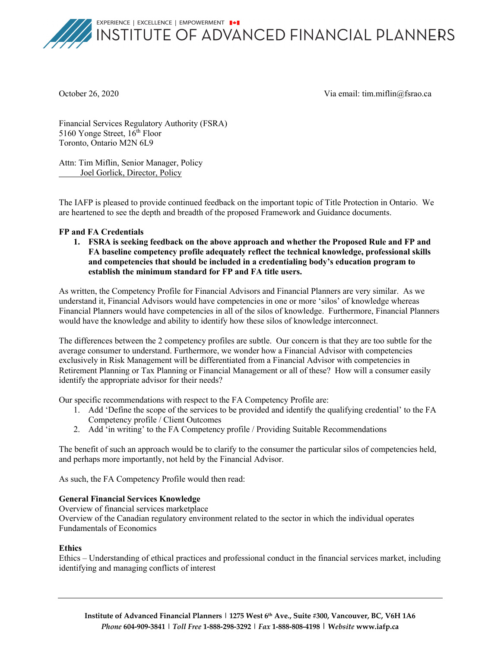EXPERIENCE | EXCELLENCE | EMPOWERMENT | +



INSTITUTE OF ADVANCED FINANCIAL PLANNERS

October 26, 2020 Via email: tim.miflin@fsrao.ca

Financial Services Regulatory Authority (FSRA) 5160 Yonge Street,  $16^{th}$  Floor Toronto, Ontario M2N 6L9

Attn: Tim Miflin, Senior Manager, Policy Joel Gorlick, Director, Policy

The IAFP is pleased to provide continued feedback on the important topic of Title Protection in Ontario. We are heartened to see the depth and breadth of the proposed Framework and Guidance documents.

## **FP and FA Credentials**

**1. FSRA is seeking feedback on the above approach and whether the Proposed Rule and FP and FA baseline competency profile adequately reflect the technical knowledge, professional skills and competencies that should be included in a credentialing body's education program to establish the minimum standard for FP and FA title users.**

As written, the Competency Profile for Financial Advisors and Financial Planners are very similar. As we understand it, Financial Advisors would have competencies in one or more 'silos' of knowledge whereas Financial Planners would have competencies in all of the silos of knowledge. Furthermore, Financial Planners would have the knowledge and ability to identify how these silos of knowledge interconnect.

The differences between the 2 competency profiles are subtle. Our concern is that they are too subtle for the average consumer to understand. Furthermore, we wonder how a Financial Advisor with competencies exclusively in Risk Management will be differentiated from a Financial Advisor with competencies in Retirement Planning or Tax Planning or Financial Management or all of these? How will a consumer easily identify the appropriate advisor for their needs?

Our specific recommendations with respect to the FA Competency Profile are:

- 1. Add 'Define the scope of the services to be provided and identify the qualifying credential' to the FA Competency profile / Client Outcomes
- 2. Add 'in writing' to the FA Competency profile / Providing Suitable Recommendations

The benefit of such an approach would be to clarify to the consumer the particular silos of competencies held, and perhaps more importantly, not held by the Financial Advisor.

As such, the FA Competency Profile would then read:

## **General Financial Services Knowledge**

Overview of financial services marketplace

Overview of the Canadian regulatory environment related to the sector in which the individual operates Fundamentals of Economics

## **Ethics**

Ethics – Understanding of ethical practices and professional conduct in the financial services market, including identifying and managing conflicts of interest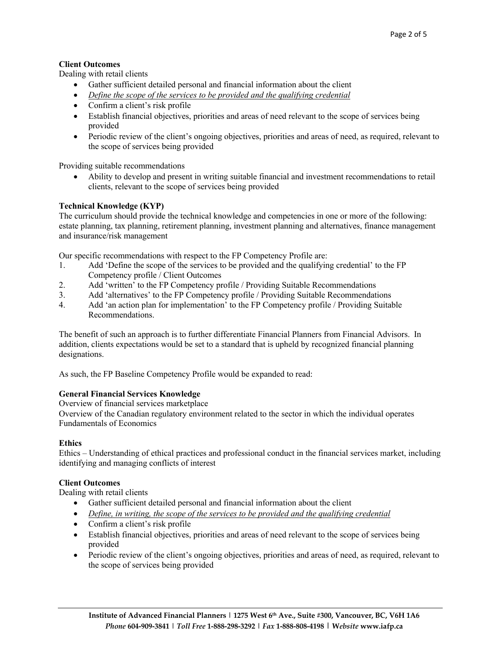# **Client Outcomes**

Dealing with retail clients

- Gather sufficient detailed personal and financial information about the client
- *Define the scope of the services to be provided and the qualifying credential*
- Confirm a client's risk profile
- Establish financial objectives, priorities and areas of need relevant to the scope of services being provided
- Periodic review of the client's ongoing objectives, priorities and areas of need, as required, relevant to the scope of services being provided

Providing suitable recommendations

• Ability to develop and present in writing suitable financial and investment recommendations to retail clients, relevant to the scope of services being provided

## **Technical Knowledge (KYP)**

The curriculum should provide the technical knowledge and competencies in one or more of the following: estate planning, tax planning, retirement planning, investment planning and alternatives, finance management and insurance/risk management

Our specific recommendations with respect to the FP Competency Profile are:

- 1. Add 'Define the scope of the services to be provided and the qualifying credential' to the FP Competency profile / Client Outcomes
- 2. Add 'written' to the FP Competency profile / Providing Suitable Recommendations
- 3. Add 'alternatives' to the FP Competency profile / Providing Suitable Recommendations
- 4. Add 'an action plan for implementation' to the FP Competency profile / Providing Suitable Recommendations.

The benefit of such an approach is to further differentiate Financial Planners from Financial Advisors. In addition, clients expectations would be set to a standard that is upheld by recognized financial planning designations.

As such, the FP Baseline Competency Profile would be expanded to read:

## **General Financial Services Knowledge**

Overview of financial services marketplace

Overview of the Canadian regulatory environment related to the sector in which the individual operates Fundamentals of Economics

#### **Ethics**

Ethics – Understanding of ethical practices and professional conduct in the financial services market, including identifying and managing conflicts of interest

#### **Client Outcomes**

Dealing with retail clients

- Gather sufficient detailed personal and financial information about the client
- *Define, in writing, the scope of the services to be provided and the qualifying credential*
- Confirm a client's risk profile
- Establish financial objectives, priorities and areas of need relevant to the scope of services being provided
- Periodic review of the client's ongoing objectives, priorities and areas of need, as required, relevant to the scope of services being provided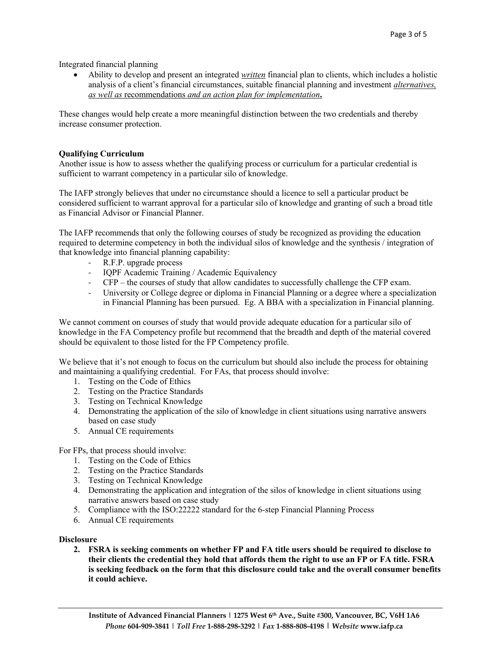Integrated financial planning

• Ability to develop and present an integrated *written* financial plan to clients, which includes a holistic analysis of a client's financial circumstances, suitable financial planning and investment *alternatives, as well as* recommendations *and an action plan for implementation***.**

These changes would help create a more meaningful distinction between the two credentials and thereby increase consumer protection.

## **Qualifying Curriculum**

Another issue is how to assess whether the qualifying process or curriculum for a particular credential is sufficient to warrant competency in a particular silo of knowledge.

The IAFP strongly believes that under no circumstance should a licence to sell a particular product be considered sufficient to warrant approval for a particular silo of knowledge and granting of such a broad title as Financial Advisor or Financial Planner.

The IAFP recommends that only the following courses of study be recognized as providing the education required to determine competency in both the individual silos of knowledge and the synthesis / integration of that knowledge into financial planning capability:

- R.F.P. upgrade process
- IQPF Academic Training / Academic Equivalency
- CFP the courses of study that allow candidates to successfully challenge the CFP exam.
- University or College degree or diploma in Financial Planning or a degree where a specialization in Financial Planning has been pursued. Eg. A BBA with a specialization in Financial planning.

We cannot comment on courses of study that would provide adequate education for a particular silo of knowledge in the FA Competency profile but recommend that the breadth and depth of the material covered should be equivalent to those listed for the FP Competency profile.

We believe that it's not enough to focus on the curriculum but should also include the process for obtaining and maintaining a qualifying credential. For FAs, that process should involve:

- 1. Testing on the Code of Ethics
- 2. Testing on the Practice Standards
- 3. Testing on Technical Knowledge
- 4. Demonstrating the application of the silo of knowledge in client situations using narrative answers based on case study
- 5. Annual CE requirements

For FPs, that process should involve:

- 1. Testing on the Code of Ethics
- 2. Testing on the Practice Standards
- 3. Testing on Technical Knowledge
- 4. Demonstrating the application and integration of the silos of knowledge in client situations using narrative answers based on case study
- 5. Compliance with the ISO:22222 standard for the 6-step Financial Planning Process
- 6. Annual CE requirements

#### **Disclosure**

**2. FSRA is seeking comments on whether FP and FA title users should be required to disclose to their clients the credential they hold that affords them the right to use an FP or FA title. FSRA is seeking feedback on the form that this disclosure could take and the overall consumer benefits it could achieve.**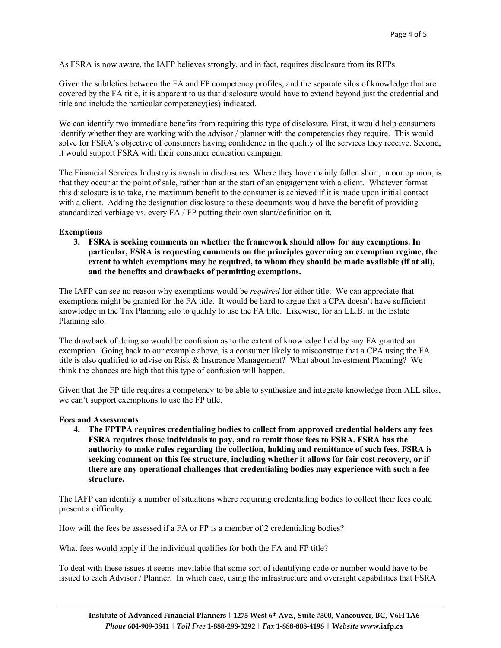As FSRA is now aware, the IAFP believes strongly, and in fact, requires disclosure from its RFPs.

Given the subtleties between the FA and FP competency profiles, and the separate silos of knowledge that are covered by the FA title, it is apparent to us that disclosure would have to extend beyond just the credential and title and include the particular competency(ies) indicated.

We can identify two immediate benefits from requiring this type of disclosure. First, it would help consumers identify whether they are working with the advisor / planner with the competencies they require. This would solve for FSRA's objective of consumers having confidence in the quality of the services they receive. Second, it would support FSRA with their consumer education campaign.

The Financial Services Industry is awash in disclosures. Where they have mainly fallen short, in our opinion, is that they occur at the point of sale, rather than at the start of an engagement with a client. Whatever format this disclosure is to take, the maximum benefit to the consumer is achieved if it is made upon initial contact with a client. Adding the designation disclosure to these documents would have the benefit of providing standardized verbiage vs. every FA / FP putting their own slant/definition on it.

#### **Exemptions**

**3. FSRA is seeking comments on whether the framework should allow for any exemptions. In particular, FSRA is requesting comments on the principles governing an exemption regime, the extent to which exemptions may be required, to whom they should be made available (if at all), and the benefits and drawbacks of permitting exemptions.**

The IAFP can see no reason why exemptions would be *required* for either title. We can appreciate that exemptions might be granted for the FA title. It would be hard to argue that a CPA doesn't have sufficient knowledge in the Tax Planning silo to qualify to use the FA title. Likewise, for an LL.B. in the Estate Planning silo.

The drawback of doing so would be confusion as to the extent of knowledge held by any FA granted an exemption. Going back to our example above, is a consumer likely to misconstrue that a CPA using the FA title is also qualified to advise on Risk & Insurance Management? What about Investment Planning? We think the chances are high that this type of confusion will happen.

Given that the FP title requires a competency to be able to synthesize and integrate knowledge from ALL silos, we can't support exemptions to use the FP title.

#### **Fees and Assessments**

**4. The FPTPA requires credentialing bodies to collect from approved credential holders any fees FSRA requires those individuals to pay, and to remit those fees to FSRA. FSRA has the authority to make rules regarding the collection, holding and remittance of such fees. FSRA is seeking comment on this fee structure, including whether it allows for fair cost recovery, or if there are any operational challenges that credentialing bodies may experience with such a fee structure.**

The IAFP can identify a number of situations where requiring credentialing bodies to collect their fees could present a difficulty.

How will the fees be assessed if a FA or FP is a member of 2 credentialing bodies?

What fees would apply if the individual qualifies for both the FA and FP title?

To deal with these issues it seems inevitable that some sort of identifying code or number would have to be issued to each Advisor / Planner. In which case, using the infrastructure and oversight capabilities that FSRA